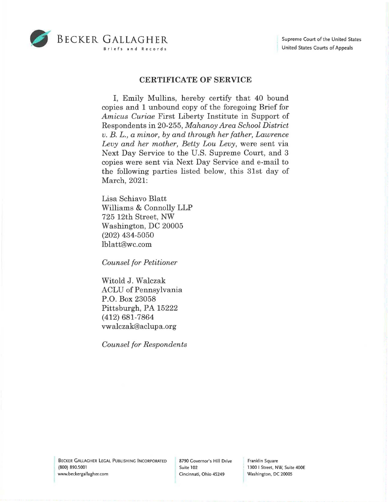

## **CERTIFICATE OF SERVICE**

I, Emily Mullins, hereby certify that 40 bound copies and 1 unbound copy of the foregoing Brief for *Amicus Curiae* First Liberty Institute in Support of Respondents in 20-255, *Mahanoy Area School District v. B. L., a minor, by and through her father, Lawrence Levy and her mother, Betty Lou Levy,* were sent via Next Day Service to the U.S. Supreme Court, and 3 copies were sent via Next Day Service and e-mail to the following parties listed below, this 31st day of March, 2021:

Lisa Schiavo Blatt Williams & Connolly LLP 725 12th Street, NW Washington, DC 20005 (202) 434-5050 lblatt@wc.com

*Counsel for Petitioner* 

Witold J. Walczak ACLU of Pennsylvania P.O. Box 23058 Pittsburgh, PA 15222 (412) 681-7864 vwalczak@aclupa.org

*Counsel for Respondents* 

Franklin Square 1300 I Street, NW, Suite 400E Washington, DC 20005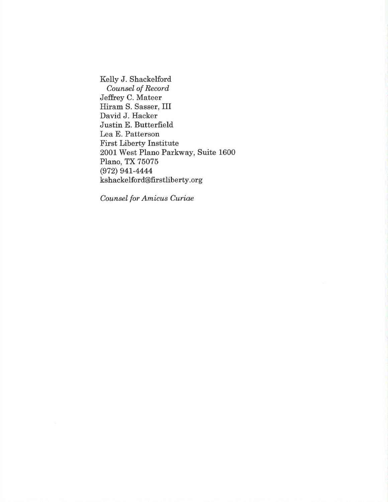Kelly J. Shackelford *Counsel of Record*  Jeffrey C. Mateer Hiram S. Sasser, III David J. Hacker Justin E. Butterfield Lea E. Patterson First Liberty Institute 2001 West Plano Parkway, Suite 1600 Plano, TX 75075 (972) 941-4444 kshackelford@firstliberty.org

*Counsel for Amicus Curiae*